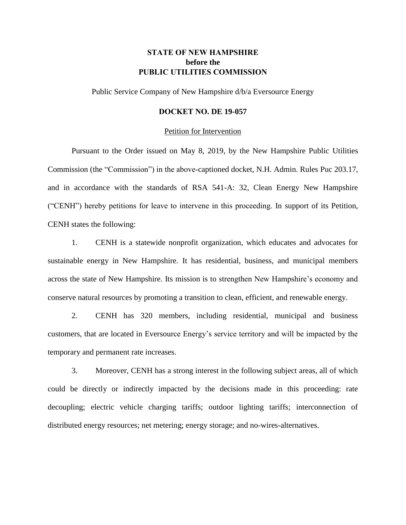## **STATE OF NEW HAMPSHIRE before the PUBLIC UTILITIES COMMISSION**

Public Service Company of New Hampshire d/b/a Eversource Energy

## **DOCKET NO. DE 19-057**

## Petition for Intervention

Pursuant to the Order issued on May 8, 2019, by the New Hampshire Public Utilities Commission (the "Commission") in the above-captioned docket, N.H. Admin. Rules Puc 203.17, and in accordance with the standards of RSA 541-A: 32, Clean Energy New Hampshire ("CENH") hereby petitions for leave to intervene in this proceeding. In support of its Petition, CENH states the following:

1. CENH is a statewide nonprofit organization, which educates and advocates for sustainable energy in New Hampshire. It has residential, business, and municipal members across the state of New Hampshire. Its mission is to strengthen New Hampshire's economy and conserve natural resources by promoting a transition to clean, efficient, and renewable energy.

2. CENH has 320 members, including residential, municipal and business customers, that are located in Eversource Energy's service territory and will be impacted by the temporary and permanent rate increases.

3. Moreover, CENH has a strong interest in the following subject areas, all of which could be directly or indirectly impacted by the decisions made in this proceeding: rate decoupling; electric vehicle charging tariffs; outdoor lighting tariffs; interconnection of distributed energy resources; net metering; energy storage; and no-wires-alternatives.